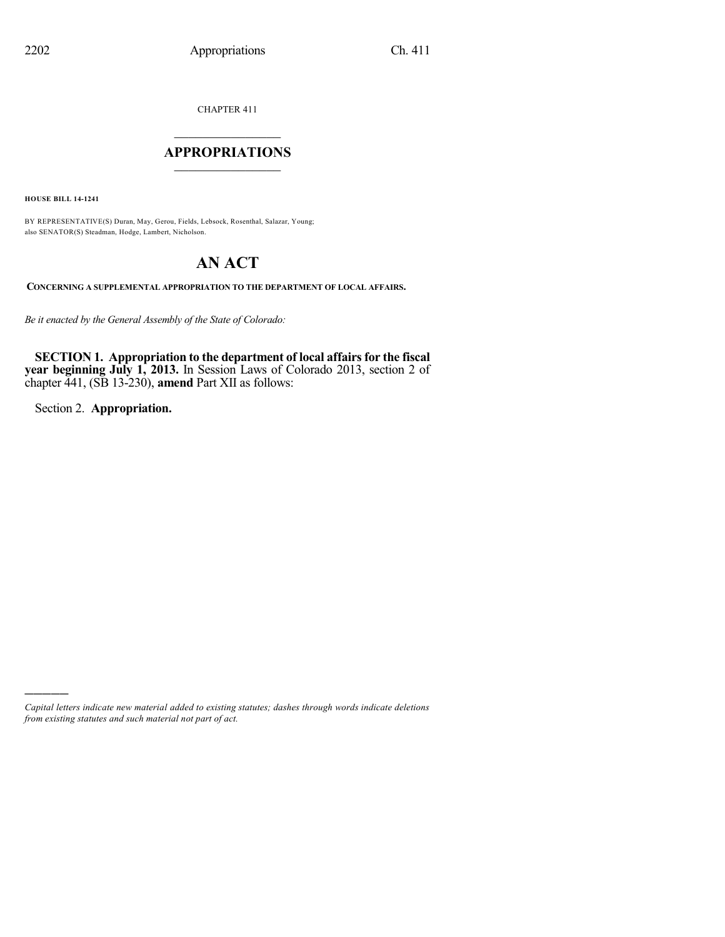CHAPTER 411

## $\mathcal{L}_\text{max}$  . The set of the set of the set of the set of the set of the set of the set of the set of the set of the set of the set of the set of the set of the set of the set of the set of the set of the set of the set **APPROPRIATIONS**  $\_$   $\_$   $\_$   $\_$   $\_$   $\_$   $\_$   $\_$

**HOUSE BILL 14-1241**

BY REPRESENTATIVE(S) Duran, May, Gerou, Fields, Lebsock, Rosenthal, Salazar, Young; also SENATOR(S) Steadman, Hodge, Lambert, Nicholson.

# **AN ACT**

**CONCERNING A SUPPLEMENTAL APPROPRIATION TO THE DEPARTMENT OF LOCAL AFFAIRS.**

*Be it enacted by the General Assembly of the State of Colorado:*

**SECTION 1. Appropriation to the department of local affairsfor the fiscal year beginning July 1, 2013.** In Session Laws of Colorado 2013, section 2 of chapter 441, (SB 13-230), **amend** Part XII as follows:

Section 2. **Appropriation.**

)))))

*Capital letters indicate new material added to existing statutes; dashes through words indicate deletions from existing statutes and such material not part of act.*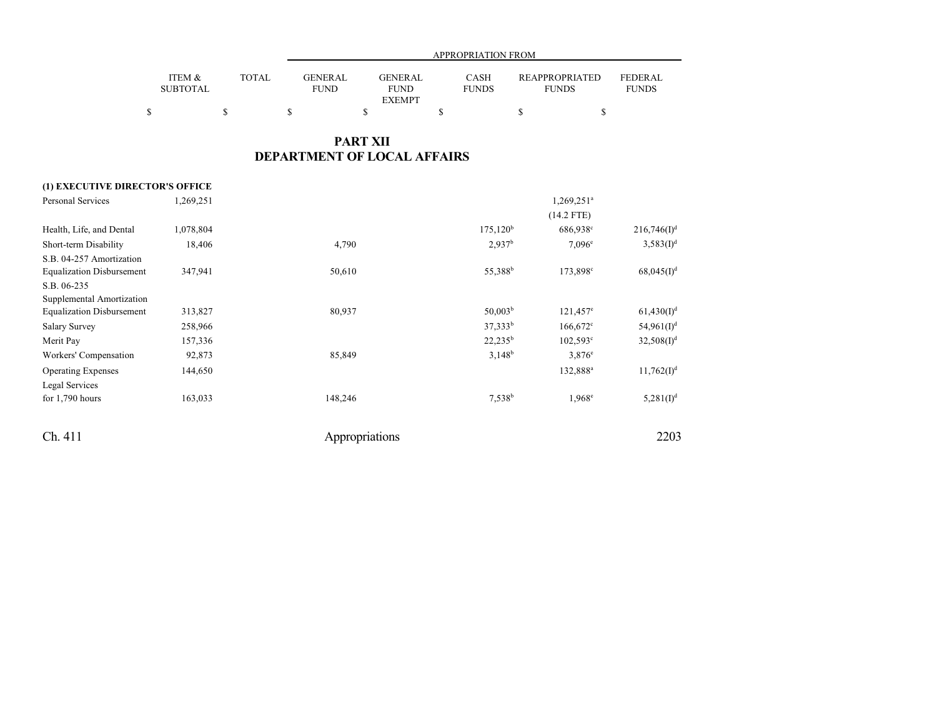|                           |              |                               | APPROPRIATION FROM                      |                             |                                |                         |  |  |  |  |  |
|---------------------------|--------------|-------------------------------|-----------------------------------------|-----------------------------|--------------------------------|-------------------------|--|--|--|--|--|
| ITEM &<br><b>SUBTOTAL</b> | <b>TOTAL</b> | <b>GENERAL</b><br><b>FUND</b> | GENERAL<br><b>FUND</b><br><b>EXEMPT</b> | <b>CASH</b><br><b>FUNDS</b> | REAPPROPRIATED<br><b>FUNDS</b> | FEDERAL<br><b>FUNDS</b> |  |  |  |  |  |
|                           |              |                               |                                         |                             |                                |                         |  |  |  |  |  |

### **PART XII DEPARTMENT OF LOCAL AFFAIRS**

### **(1) EXECUTIVE DIRECTOR'S OFFICE**

| <b>Personal Services</b>         | 1,269,251 |                |                     | 1,269,251 <sup>a</sup> |                         |
|----------------------------------|-----------|----------------|---------------------|------------------------|-------------------------|
|                                  |           |                |                     | $(14.2$ FTE)           |                         |
| Health, Life, and Dental         | 1,078,804 |                | $175,120^{\rm b}$   | 686,938 <sup>c</sup>   | 216,746(I) <sup>d</sup> |
| Short-term Disability            | 18,406    | 4,790          | $2,937^b$           | $7.096^{\circ}$        | $3,583(I)^d$            |
| S.B. 04-257 Amortization         |           |                |                     |                        |                         |
| <b>Equalization Disbursement</b> | 347,941   | 50,610         | 55,388 <sup>b</sup> | 173,898°               | $68,045(1)^d$           |
| S.B. 06-235                      |           |                |                     |                        |                         |
| Supplemental Amortization        |           |                |                     |                        |                         |
| <b>Equalization Disbursement</b> | 313,827   | 80,937         | 50,003 <sup>b</sup> | $121,457^e$            | 61,430(I) <sup>d</sup>  |
| <b>Salary Survey</b>             | 258,966   |                | $37,333^b$          | $166,672^{\circ}$      | $54,961(1)^d$           |
| Merit Pay                        | 157,336   |                | $22,235^b$          | $102,593^{\circ}$      | $32,508(1)^d$           |
| Workers' Compensation            | 92,873    | 85,849         | $3,148^b$           | $3,876^{\circ}$        |                         |
| <b>Operating Expenses</b>        | 144,650   |                |                     | 132,888 <sup>a</sup>   | $11,762(I)^d$           |
| Legal Services                   |           |                |                     |                        |                         |
| for $1,790$ hours                | 163,033   | 148,246        | 7,538 <sup>b</sup>  | $1,968^{\circ}$        | $5,281(I)^d$            |
| Ch. 411                          |           | Appropriations |                     |                        | 2203                    |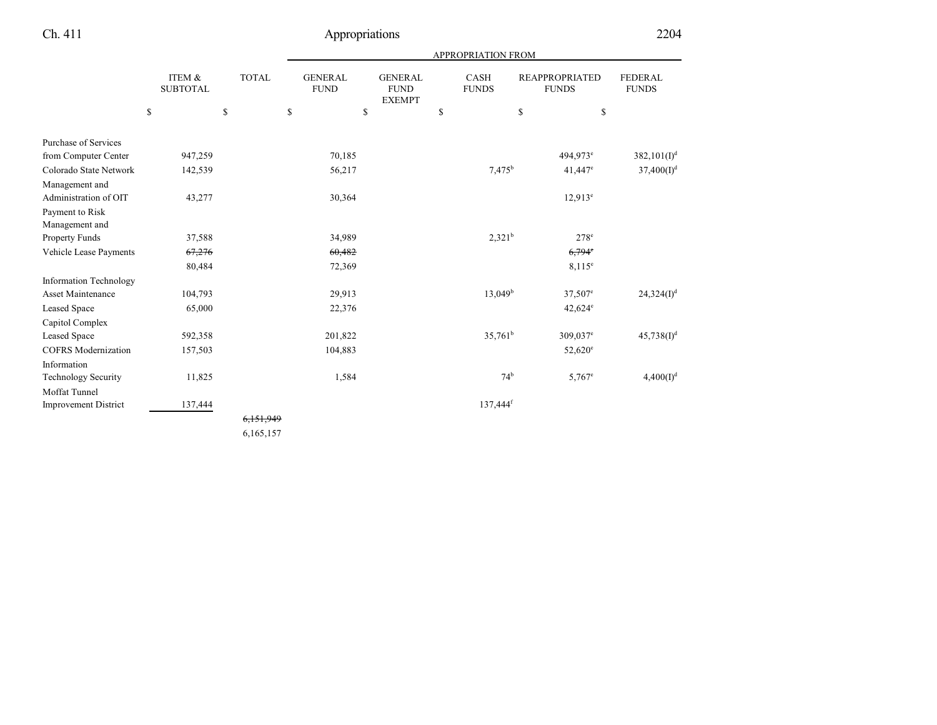| <b>APPROPRIATION FROM</b> |  |
|---------------------------|--|
|                           |  |

|                               | ITEM &<br><b>SUBTOTAL</b> | <b>TOTAL</b> | <b>GENERAL</b><br><b>FUND</b> | <b>GENERAL</b><br><b>FUND</b><br><b>EXEMPT</b> | <b>CASH</b><br><b>FUNDS</b> | <b>REAPPROPRIATED</b><br><b>FUNDS</b> | <b>FEDERAL</b><br><b>FUNDS</b> |
|-------------------------------|---------------------------|--------------|-------------------------------|------------------------------------------------|-----------------------------|---------------------------------------|--------------------------------|
|                               | \$                        | \$           | \$                            | \$                                             | \$                          | \$<br>\$                              |                                |
| <b>Purchase of Services</b>   |                           |              |                               |                                                |                             |                                       |                                |
| from Computer Center          | 947,259                   |              | 70,185                        |                                                |                             | 494,973 <sup>e</sup>                  | $382,101(1)^d$                 |
| Colorado State Network        | 142,539                   |              | 56,217                        |                                                | $7,475^b$                   | $41,447$ <sup>e</sup>                 | 37,400(I) <sup>d</sup>         |
| Management and                |                           |              |                               |                                                |                             |                                       |                                |
| Administration of OIT         | 43,277                    |              | 30,364                        |                                                |                             | $12.913^e$                            |                                |
| Payment to Risk               |                           |              |                               |                                                |                             |                                       |                                |
| Management and                |                           |              |                               |                                                |                             |                                       |                                |
| Property Funds                | 37,588                    |              | 34,989                        |                                                | $2,321^b$                   | $278^e$                               |                                |
| Vehicle Lease Payments        | 67,276                    |              | 60,482                        |                                                |                             | $6,794^{\circ}$                       |                                |
|                               | 80,484                    |              | 72,369                        |                                                |                             | $8.115^e$                             |                                |
| <b>Information Technology</b> |                           |              |                               |                                                |                             |                                       |                                |
| <b>Asset Maintenance</b>      | 104,793                   |              | 29,913                        |                                                | $13,049^{\rm b}$            | 37,507 <sup>e</sup>                   | $24,324(1)^d$                  |
| <b>Leased Space</b>           | 65,000                    |              | 22,376                        |                                                |                             | $42,624^{\circ}$                      |                                |
| Capitol Complex               |                           |              |                               |                                                |                             |                                       |                                |
| <b>Leased Space</b>           | 592,358                   |              | 201,822                       |                                                | $35,761^b$                  | 309,037 <sup>e</sup>                  | $45,738(1)^d$                  |
| <b>COFRS</b> Modernization    | 157,503                   |              | 104,883                       |                                                |                             | $52,620^{\circ}$                      |                                |
| Information                   |                           |              |                               |                                                |                             |                                       |                                |
| <b>Technology Security</b>    | 11,825                    |              | 1,584                         |                                                | 74 <sup>b</sup>             | $5,767$ <sup>e</sup>                  | 4,400(I) <sup>d</sup>          |
| Moffat Tunnel                 |                           |              |                               |                                                |                             |                                       |                                |
| <b>Improvement District</b>   | 137,444                   |              |                               |                                                | $137,444$ <sup>f</sup>      |                                       |                                |
|                               |                           | 6,151,949    |                               |                                                |                             |                                       |                                |
|                               |                           | 6,165,157    |                               |                                                |                             |                                       |                                |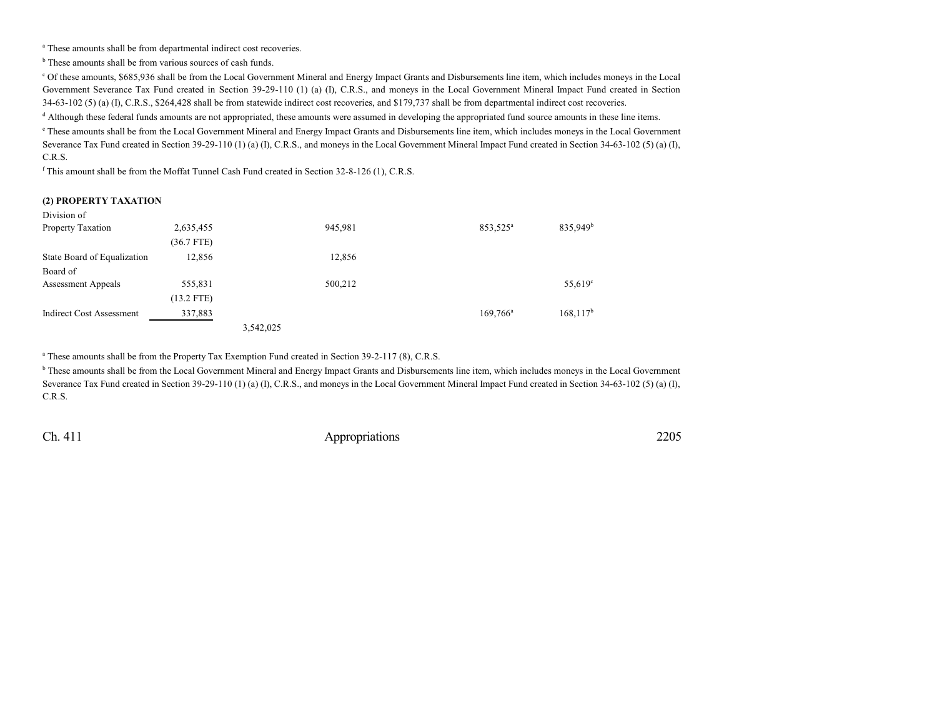<sup>a</sup> These amounts shall be from departmental indirect cost recoveries.

<sup>b</sup> These amounts shall be from various sources of cash funds.

<sup>c</sup> Of these amounts, \$685,936 shall be from the Local Government Mineral and Energy Impact Grants and Disbursements line item, which includes moneys in the Local Government Severance Tax Fund created in Section 39-29-110 (1) (a) (I), C.R.S., and moneys in the Local Government Mineral Impact Fund created in Section 34-63-102 (5) (a) (I), C.R.S., \$264,428 shall be from statewide indirect cost recoveries, and \$179,737 shall be from departmental indirect cost recoveries.

<sup>d</sup> Although these federal funds amounts are not appropriated, these amounts were assumed in developing the appropriated fund source amounts in these line items. e These amounts shall be from the Local Government Mineral and Energy Impact Grants and Disbursements line item, which includes moneys in the Local Government Severance Tax Fund created in Section 39-29-110 (1) (a) (I), C.R.S., and moneys in the Local Government Mineral Impact Fund created in Section 34-63-102 (5) (a) (I), C.R.S.

f This amount shall be from the Moffat Tunnel Cash Fund created in Section 32-8-126 (1), C.R.S.

#### **(2) PROPERTY TAXATION**

| Division of                     |              |           |         |                      |                      |
|---------------------------------|--------------|-----------|---------|----------------------|----------------------|
| Property Taxation               | 2,635,455    |           | 945,981 | 853,525 <sup>a</sup> | 835,949 <sup>b</sup> |
|                                 | $(36.7$ FTE) |           |         |                      |                      |
| State Board of Equalization     | 12,856       |           | 12,856  |                      |                      |
| Board of                        |              |           |         |                      |                      |
| <b>Assessment Appeals</b>       | 555,831      |           | 500,212 |                      | $55,619^{\circ}$     |
|                                 | $(13.2$ FTE) |           |         |                      |                      |
| <b>Indirect Cost Assessment</b> | 337,883      |           |         | $169,766^{\circ}$    | $168,117^b$          |
|                                 |              | 3,542,025 |         |                      |                      |

<sup>a</sup> These amounts shall be from the Property Tax Exemption Fund created in Section 39-2-117 (8), C.R.S.

<sup>b</sup> These amounts shall be from the Local Government Mineral and Energy Impact Grants and Disbursements line item, which includes moneys in the Local Government Severance Tax Fund created in Section 39-29-110 (1) (a) (I), C.R.S., and moneys in the Local Government Mineral Impact Fund created in Section 34-63-102 (5) (a) (I), C.R.S.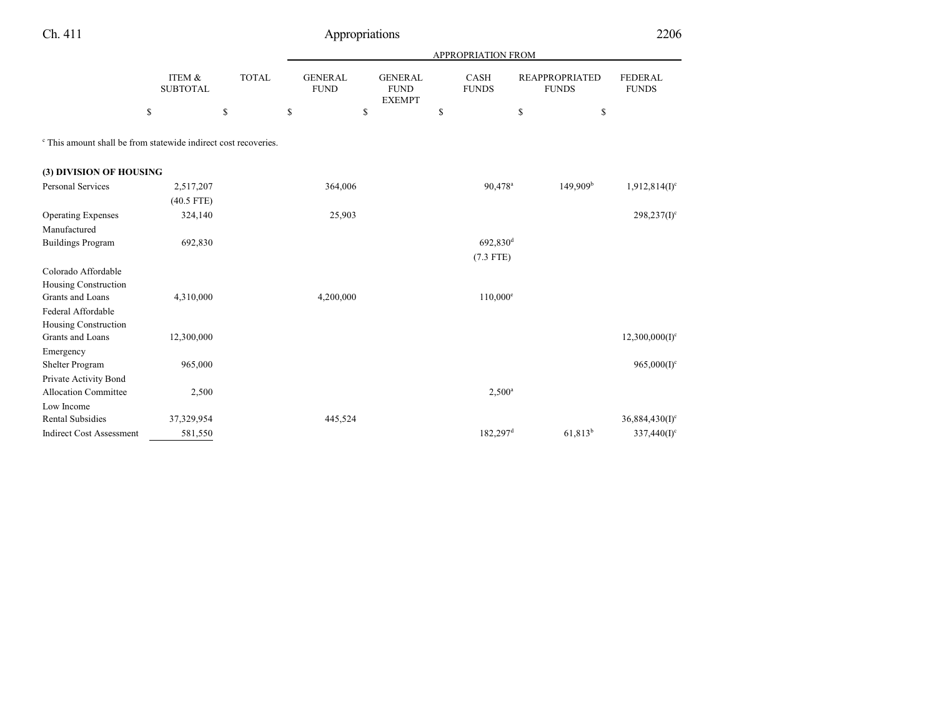| Ch. 411                                                                    |                           |              | Appropriations                |                                                |    |                      |                                       | 2206                           |  |
|----------------------------------------------------------------------------|---------------------------|--------------|-------------------------------|------------------------------------------------|----|----------------------|---------------------------------------|--------------------------------|--|
|                                                                            |                           |              |                               | APPROPRIATION FROM                             |    |                      |                                       |                                |  |
|                                                                            | ITEM &<br><b>SUBTOTAL</b> | <b>TOTAL</b> | <b>GENERAL</b><br><b>FUND</b> | <b>GENERAL</b><br><b>FUND</b><br><b>EXEMPT</b> |    | CASH<br><b>FUNDS</b> | <b>REAPPROPRIATED</b><br><b>FUNDS</b> | <b>FEDERAL</b><br><b>FUNDS</b> |  |
|                                                                            | \$                        | \$           | $\mathbb{S}$<br>\$            |                                                | \$ |                      | \$                                    | \$                             |  |
| <sup>c</sup> This amount shall be from statewide indirect cost recoveries. |                           |              |                               |                                                |    |                      |                                       |                                |  |
| (3) DIVISION OF HOUSING                                                    |                           |              |                               |                                                |    |                      |                                       |                                |  |
| <b>Personal Services</b>                                                   | 2,517,207                 |              | 364,006                       |                                                |    | 90,478 <sup>a</sup>  | 149,909 <sup>b</sup>                  | 1,912,814(I) <sup>c</sup>      |  |
|                                                                            | $(40.5$ FTE)              |              |                               |                                                |    |                      |                                       |                                |  |
| <b>Operating Expenses</b>                                                  | 324,140                   |              | 25,903                        |                                                |    |                      |                                       | $298,237(1)$ <sup>c</sup>      |  |
| Manufactured                                                               |                           |              |                               |                                                |    |                      |                                       |                                |  |
| <b>Buildings Program</b>                                                   | 692,830                   |              |                               |                                                |    | 692,830 <sup>d</sup> |                                       |                                |  |
|                                                                            |                           |              |                               |                                                |    | $(7.3$ FTE)          |                                       |                                |  |
| Colorado Affordable                                                        |                           |              |                               |                                                |    |                      |                                       |                                |  |
| Housing Construction                                                       |                           |              |                               |                                                |    |                      |                                       |                                |  |
| Grants and Loans                                                           | 4,310,000                 |              | 4,200,000                     |                                                |    | $110,000^e$          |                                       |                                |  |
| Federal Affordable                                                         |                           |              |                               |                                                |    |                      |                                       |                                |  |
| Housing Construction                                                       |                           |              |                               |                                                |    |                      |                                       |                                |  |
| Grants and Loans                                                           | 12,300,000                |              |                               |                                                |    |                      |                                       | $12,300,000(I)^c$              |  |
| Emergency                                                                  |                           |              |                               |                                                |    |                      |                                       |                                |  |
| Shelter Program                                                            | 965,000                   |              |                               |                                                |    |                      |                                       | $965,000(I)^c$                 |  |
| Private Activity Bond                                                      |                           |              |                               |                                                |    |                      |                                       |                                |  |
| <b>Allocation Committee</b>                                                | 2,500                     |              |                               |                                                |    | $2,500^{\rm a}$      |                                       |                                |  |
| Low Income                                                                 |                           |              |                               |                                                |    |                      |                                       |                                |  |
| <b>Rental Subsidies</b>                                                    | 37,329,954                |              | 445,524                       |                                                |    |                      |                                       | 36,884,430(I) <sup>c</sup>     |  |
| <b>Indirect Cost Assessment</b>                                            | 581,550                   |              |                               |                                                |    | 182,297 <sup>d</sup> | $61,813^b$                            | $337,440(I)^c$                 |  |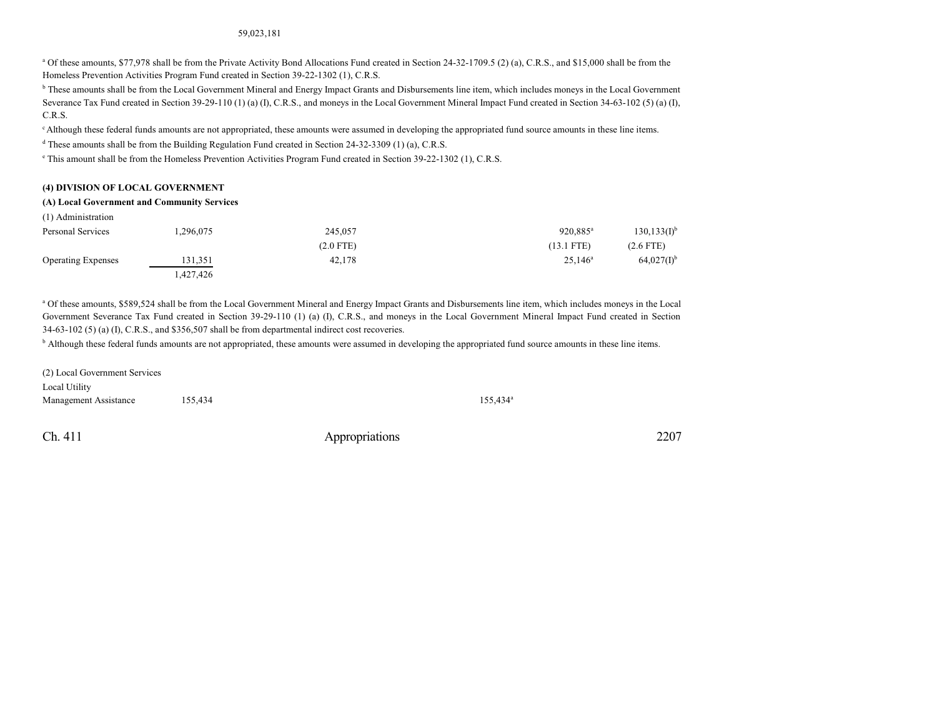#### 59,023,181

<sup>a</sup> Of these amounts, \$77,978 shall be from the Private Activity Bond Allocations Fund created in Section 24-32-1709.5 (2) (a), C.R.S., and \$15,000 shall be from the Homeless Prevention Activities Program Fund created in Section 39-22-1302 (1), C.R.S.

<sup>b</sup> These amounts shall be from the Local Government Mineral and Energy Impact Grants and Disbursements line item, which includes moneys in the Local Government Severance Tax Fund created in Section 39-29-110 (1) (a) (I), C.R.S., and moneys in the Local Government Mineral Impact Fund created in Section 34-63-102 (5) (a) (I), C.R.S.

<sup>c</sup>Although these federal funds amounts are not appropriated, these amounts were assumed in developing the appropriated fund source amounts in these line items.

<sup>d</sup> These amounts shall be from the Building Regulation Fund created in Section 24-32-3309 (1) (a), C.R.S.

e This amount shall be from the Homeless Prevention Activities Program Fund created in Section 39-22-1302 (1), C.R.S.

#### **(4) DIVISION OF LOCAL GOVERNMENT**

#### **(A) Local Government and Community Services**

| (1) Administration        |           |             |                      |                            |
|---------------------------|-----------|-------------|----------------------|----------------------------|
| Personal Services         | .296,075  | 245,057     | 920.885 <sup>a</sup> | $130, 133(1)$ <sup>b</sup> |
|                           |           | $(2.0$ FTE) | $(13.1$ FTE)         | $(2.6$ FTE)                |
| <b>Operating Expenses</b> | 131,351   | 42,178      | $25,146^{\circ}$     | $64,027(1)$ <sup>b</sup>   |
|                           | 1,427,426 |             |                      |                            |

<sup>a</sup> Of these amounts, \$589,524 shall be from the Local Government Mineral and Energy Impact Grants and Disbursements line item, which includes moneys in the Local Government Severance Tax Fund created in Section 39-29-110 (1) (a) (I), C.R.S., and moneys in the Local Government Mineral Impact Fund created in Section 34-63-102 (5) (a) (I), C.R.S., and \$356,507 shall be from departmental indirect cost recoveries.

<sup>b</sup> Although these federal funds amounts are not appropriated, these amounts were assumed in developing the appropriated fund source amounts in these line items.

| (2) Local Government Services |         |             |
|-------------------------------|---------|-------------|
| Local Utility                 |         |             |
| Management Assistance         | 155.434 | $155.434^a$ |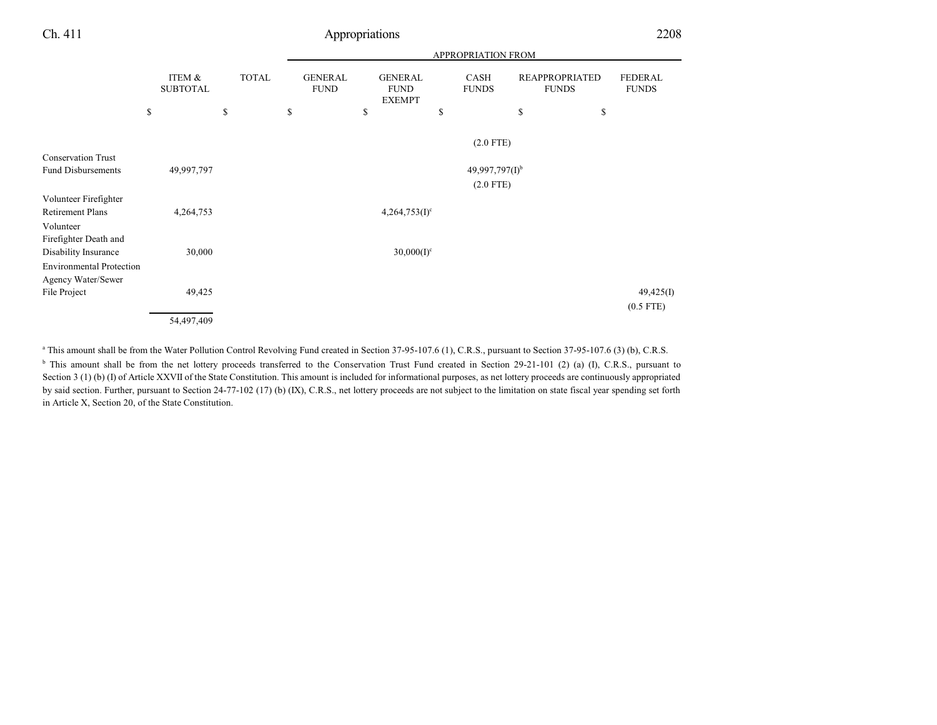|                                                         |                           |              |                               |                                                | APPROPRIATION FROM         |                                       |                                |
|---------------------------------------------------------|---------------------------|--------------|-------------------------------|------------------------------------------------|----------------------------|---------------------------------------|--------------------------------|
|                                                         | ITEM &<br><b>SUBTOTAL</b> | <b>TOTAL</b> | <b>GENERAL</b><br><b>FUND</b> | <b>GENERAL</b><br><b>FUND</b><br><b>EXEMPT</b> | CASH<br><b>FUNDS</b>       | <b>REAPPROPRIATED</b><br><b>FUNDS</b> | <b>FEDERAL</b><br><b>FUNDS</b> |
|                                                         | \$                        | \$           | \$                            | \$                                             | \$                         | \$                                    | \$                             |
|                                                         |                           |              |                               |                                                | $(2.0$ FTE)                |                                       |                                |
| <b>Conservation Trust</b>                               |                           |              |                               |                                                |                            |                                       |                                |
| <b>Fund Disbursements</b>                               | 49,997,797                |              |                               |                                                | 49,997,797(I) <sup>b</sup> |                                       |                                |
|                                                         |                           |              |                               |                                                | $(2.0$ FTE)                |                                       |                                |
| Volunteer Firefighter                                   |                           |              |                               |                                                |                            |                                       |                                |
| <b>Retirement Plans</b>                                 | 4,264,753                 |              |                               | $4,264,753(I)^c$                               |                            |                                       |                                |
| Volunteer                                               |                           |              |                               |                                                |                            |                                       |                                |
| Firefighter Death and                                   |                           |              |                               |                                                |                            |                                       |                                |
| Disability Insurance<br><b>Environmental Protection</b> | 30,000                    |              |                               | $30,000(I)^c$                                  |                            |                                       |                                |
| Agency Water/Sewer                                      |                           |              |                               |                                                |                            |                                       |                                |
| File Project                                            | 49,425                    |              |                               |                                                |                            |                                       | 49,425(I)                      |
|                                                         |                           |              |                               |                                                |                            |                                       | $(0.5$ FTE)                    |
|                                                         | 54,497,409                |              |                               |                                                |                            |                                       |                                |

<sup>a</sup> This amount shall be from the Water Pollution Control Revolving Fund created in Section 37-95-107.6 (1), C.R.S., pursuant to Section 37-95-107.6 (3) (b), C.R.S.

<sup>b</sup> This amount shall be from the net lottery proceeds transferred to the Conservation Trust Fund created in Section 29-21-101 (2) (a) (I), C.R.S., pursuant to Section 3 (1) (b) (I) of Article XXVII of the State Constitution. This amount is included for informational purposes, as net lottery proceeds are continuously appropriated by said section. Further, pursuant to Section 24-77-102 (17) (b) (IX), C.R.S., net lottery proceeds are not subject to the limitation on state fiscal year spending set forth in Article X, Section 20, of the State Constitution.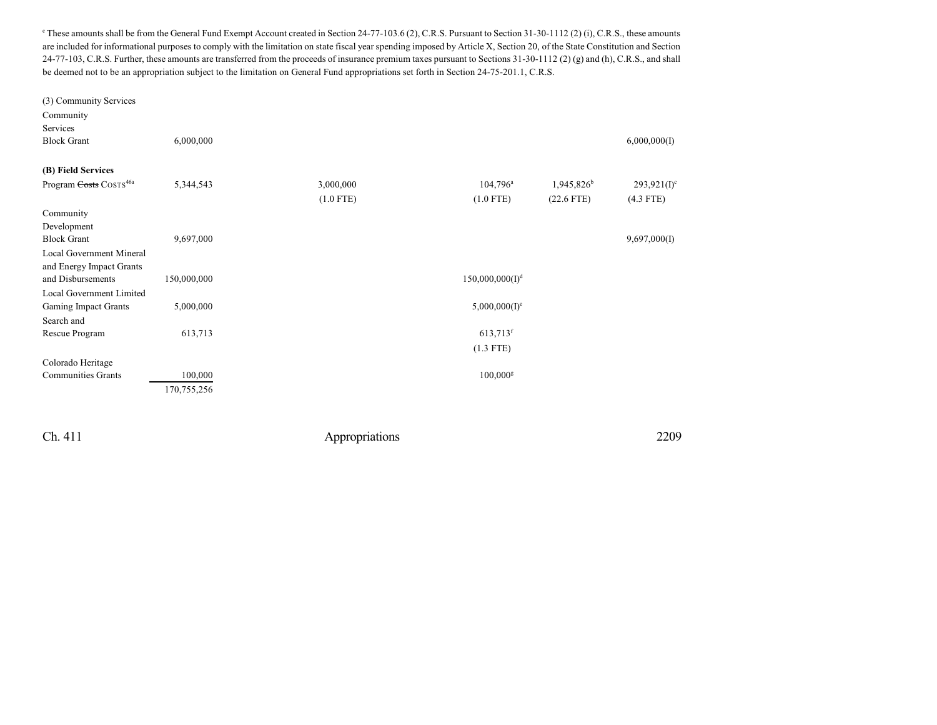$c^{\text{th}}$  These amounts shall be from the General Fund Exempt Account created in Section 24-77-103.6 (2), C.R.S. Pursuant to Section 31-30-1112 (2) (i), C.R.S., these amounts are included for informational purposes to comply with the limitation on state fiscal year spending imposed by Article X, Section 20, of the State Constitution and Section 24-77-103, C.R.S. Further, these amounts are transferred from the proceeds of insurance premium taxes pursuant to Sections 31-30-1112 (2) (g) and (h), C.R.S., and shall be deemed not to be an appropriation subject to the limitation on General Fund appropriations set forth in Section 24-75-201.1, C.R.S.

(3) Community Services Community Services Block Grant 6,000,000 6,000,000(I) **(B) Field Services** Program <del>Costs</del> Costs<sup>46a</sup> 5,344,543 3,000,000 104,796<sup>a</sup> 1,945,826 b  $293,921(I)^c$ (1.0 FTE) (1.0 FTE) (22.6 FTE) (4.3 FTE) Community Development Block Grant 9,697,000 9,697,000 9,697,000 9,697,000 9,697,000 9,697,000 9,697,000 9,697,000 9,697,000 9,697,000 Local Government Mineral and Energy Impact Grants and Disbursements 150,000,000  $150,000,000(I)<sup>d</sup>$ Local Government Limited Gaming Impact Grants 5,000,000  $5,000,000(I)^e$ Search and Rescue Program 613,713 613,713 613,713 613,713 613,713 613,713 613,713 613,713 613,713 613,713 613,713 613,713 613,713 613,713 613,713 613,713 613,713 613,713 613,713 613,713 613,713 613,713 613,713 613,713 613,713 613,71 (1.3 FTE) Colorado Heritage Communities Grants 100,000 100,000<sup>g</sup> 170,755,256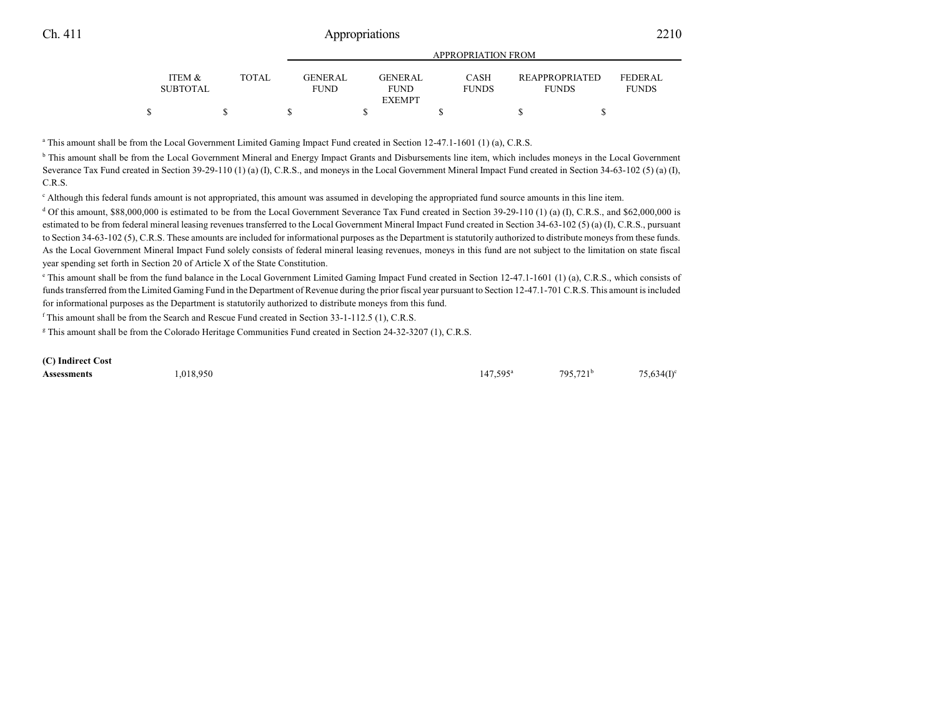|                           |              |                                | APPROPRIATION FROM            |                             |                                       |                                |  |  |  |  |
|---------------------------|--------------|--------------------------------|-------------------------------|-----------------------------|---------------------------------------|--------------------------------|--|--|--|--|
| ITEM &<br><b>SUBTOTAL</b> | <b>TOTAL</b> | <b>GENER AL</b><br><b>FUND</b> | <b>GENERAL</b><br><b>FUND</b> | <b>CASH</b><br><b>FUNDS</b> | <b>REAPPROPRIATED</b><br><b>FUNDS</b> | <b>FEDERAL</b><br><b>FUNDS</b> |  |  |  |  |
|                           |              |                                | <b>EXEMPT</b>                 |                             |                                       |                                |  |  |  |  |
|                           |              |                                |                               |                             |                                       |                                |  |  |  |  |

a This amount shall be from the Local Government Limited Gaming Impact Fund created in Section 12-47.1-1601 (1) (a), C.R.S.

<sup>b</sup> This amount shall be from the Local Government Mineral and Energy Impact Grants and Disbursements line item, which includes moneys in the Local Government Severance Tax Fund created in Section 39-29-110 (1) (a) (I), C.R.S., and moneys in the Local Government Mineral Impact Fund created in Section 34-63-102 (5) (a) (I), C.R.S.

<sup>c</sup> Although this federal funds amount is not appropriated, this amount was assumed in developing the appropriated fund source amounts in this line item.

 $d$  Of this amount, \$88,000,000 is estimated to be from the Local Government Severance Tax Fund created in Section 39-29-110 (1) (a) (I), C.R.S., and \$62,000,000 is estimated to be from federal mineral leasing revenues transferred to the Local Government Mineral Impact Fund created in Section 34-63-102 (5) (a) (I), C.R.S., pursuant to Section 34-63-102 (5), C.R.S. These amounts are included for informational purposes as the Department is statutorily authorized to distribute moneys from these funds. As the Local Government Mineral Impact Fund solely consists of federal mineral leasing revenues, moneys in this fund are not subject to the limitation on state fiscal year spending set forth in Section 20 of Article X of the State Constitution.

<sup>e</sup> This amount shall be from the fund balance in the Local Government Limited Gaming Impact Fund created in Section 12-47.1-1601 (1) (a), C.R.S., which consists of funds transferred from the Limited Gaming Fund in the Department of Revenue during the prior fiscal year pursuant to Section 12-47.1-701 C.R.S. This amount is included for informational purposes as the Department is statutorily authorized to distribute moneys from this fund.

f This amount shall be from the Search and Rescue Fund created in Section 33-1-112.5 (1), C.R.S.

<sup>g</sup> This amount shall be from the Colorado Heritage Communities Fund created in Section 24-32-3207 (1), C.R.S.

**(C) Indirect Cost**

**Assessments** 1,018,950 147,595<sup>a</sup>

795,721 b

 $75,634(I)$ <sup>c</sup>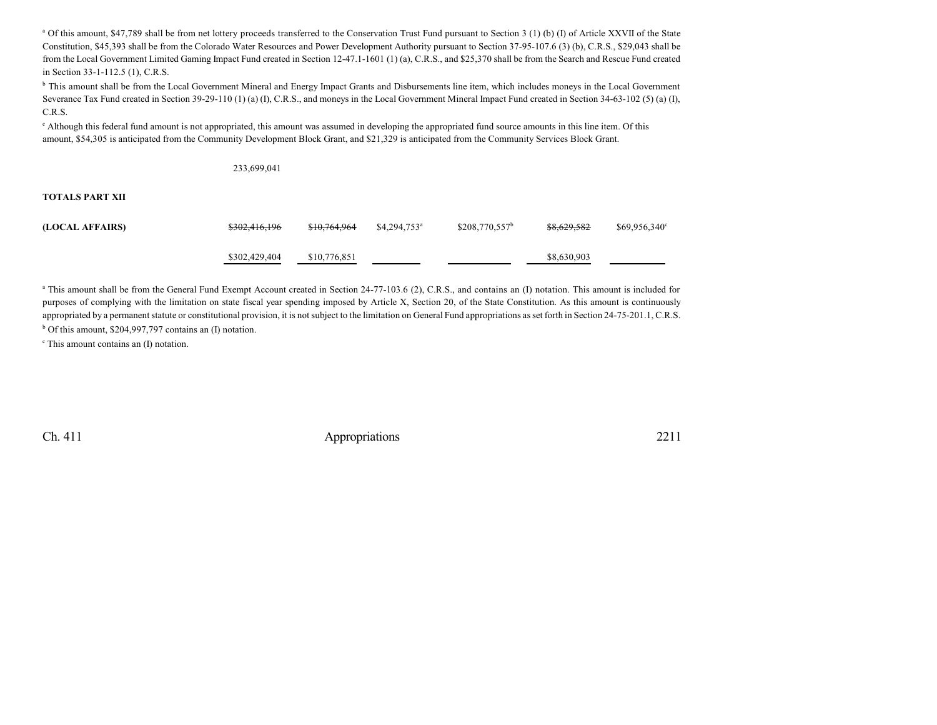<sup>a</sup> Of this amount, \$47,789 shall be from net lottery proceeds transferred to the Conservation Trust Fund pursuant to Section 3 (1) (b) (I) of Article XXVII of the State Constitution, \$45,393 shall be from the Colorado Water Resources and Power Development Authority pursuant to Section 37-95-107.6 (3) (b), C.R.S., \$29,043 shall be from the Local Government Limited Gaming Impact Fund created in Section 12-47.1-1601 (1) (a), C.R.S., and \$25,370 shall be from the Search and Rescue Fund created in Section 33-1-112.5 (1), C.R.S.

<sup>b</sup> This amount shall be from the Local Government Mineral and Energy Impact Grants and Disbursements line item, which includes moneys in the Local Government Severance Tax Fund created in Section 39-29-110 (1) (a) (I), C.R.S., and moneys in the Local Government Mineral Impact Fund created in Section 34-63-102 (5) (a) (I), C.R.S.

<sup>c</sup> Although this federal fund amount is not appropriated, this amount was assumed in developing the appropriated fund source amounts in this line item. Of this amount, \$54,305 is anticipated from the Community Development Block Grant, and \$21,329 is anticipated from the Community Services Block Grant.

|                 | 233,699,041   |              |                           |                  |             |                       |
|-----------------|---------------|--------------|---------------------------|------------------|-------------|-----------------------|
| TOTALS PART XII |               |              |                           |                  |             |                       |
| (LOCAL AFFAIRS) | \$302,416,196 | \$10,764,964 | $$4,294,753$ <sup>a</sup> | $$208,770,557^b$ | \$8,629,582 | $$69,956,340^{\circ}$ |
|                 | \$302,429,404 | \$10,776,851 |                           |                  | \$8,630,903 |                       |

<sup>a</sup> This amount shall be from the General Fund Exempt Account created in Section 24-77-103.6 (2), C.R.S., and contains an (I) notation. This amount is included for purposes of complying with the limitation on state fiscal year spending imposed by Article X, Section 20, of the State Constitution. As this amount is continuously appropriated by a permanent statute or constitutional provision, it is not subject to the limitation on General Fund appropriations as set forth in Section 24-75-201.1, C.R.S. <sup>b</sup> Of this amount, \$204,997,797 contains an (I) notation.

c This amount contains an (I) notation.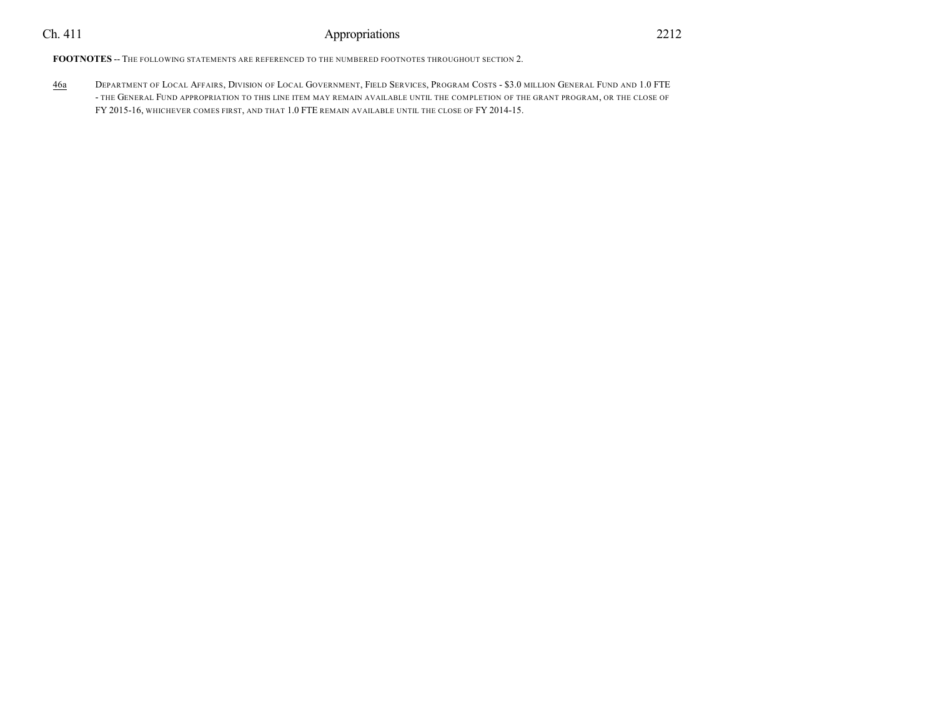**FOOTNOTES** -- THE FOLLOWING STATEMENTS ARE REFERENCED TO THE NUMBERED FOOTNOTES THROUGHOUT SECTION 2.

46a DEPARTMENT OF LOCAL AFFAIRS, DIVISION OF LOCAL GOVERNMENT, FIELD SERVICES, PROGRAM COSTS - \$3.0 MILLION GENERAL FUND AND 1.0 FTE - THE GENERAL FUND APPROPRIATION TO THIS LINE ITEM MAY REMAIN AVAILABLE UNTIL THE COMPLETION OF THE GRANT PROGRAM, OR THE CLOSE OF FY 2015-16, WHICHEVER COMES FIRST, AND THAT 1.0 FTE REMAIN AVAILABLE UNTIL THE CLOSE OF FY 2014-15.